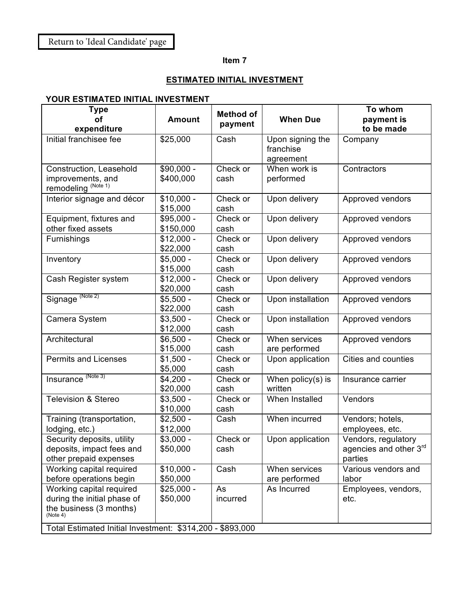## **Item 7**

## **ESTIMATED INITIAL INVESTMENT**

## **YOUR ESTIMATED INITIAL INVESTMENT**

| <b>Type</b><br>οf                                                                                                                                           | <b>Amount</b>            | <b>Method of</b> | <b>When Due</b>                            | To whom<br>payment is                                    |
|-------------------------------------------------------------------------------------------------------------------------------------------------------------|--------------------------|------------------|--------------------------------------------|----------------------------------------------------------|
| expenditure                                                                                                                                                 |                          | payment          |                                            | to be made                                               |
| Initial franchisee fee                                                                                                                                      | \$25,000                 | Cash             | Upon signing the<br>franchise<br>agreement | Company                                                  |
| Construction, Leasehold<br>improvements, and<br>remodeling <sup>(Note 1)</sup>                                                                              | \$90,000 -<br>\$400,000  | Check or<br>cash | When work is<br>performed                  | Contractors                                              |
| Interior signage and décor                                                                                                                                  | $$10,000 -$<br>\$15,000  | Check or<br>cash | Upon delivery                              | Approved vendors                                         |
| Equipment, fixtures and<br>other fixed assets                                                                                                               | $$95,000 -$<br>\$150,000 | Check or<br>cash | Upon delivery                              | Approved vendors                                         |
| Furnishings                                                                                                                                                 | $$12,000 -$<br>\$22,000  | Check or<br>cash | Upon delivery                              | Approved vendors                                         |
| Inventory                                                                                                                                                   | $$5,000 -$<br>\$15,000   | Check or<br>cash | Upon delivery                              | Approved vendors                                         |
| Cash Register system                                                                                                                                        | $$12,000 -$<br>\$20,000  | Check or<br>cash | Upon delivery                              | Approved vendors                                         |
| Signage (Note 2)                                                                                                                                            | $$5,500 -$<br>\$22,000   | Check or<br>cash | Upon installation                          | Approved vendors                                         |
| Camera System                                                                                                                                               | $$3,500 -$<br>\$12,000   | Check or<br>cash | Upon installation                          | Approved vendors                                         |
| Architectural                                                                                                                                               | $$6,500 -$<br>\$15,000   | Check or<br>cash | When services<br>are performed             | Approved vendors                                         |
| <b>Permits and Licenses</b>                                                                                                                                 | $$1,500 -$<br>\$5,000    | Check or<br>cash | Upon application                           | Cities and counties                                      |
| Insurance (Note 3)                                                                                                                                          | $$4,200 -$<br>\$20,000   | Check or<br>cash | When policy(s) is<br>written               | Insurance carrier                                        |
| <b>Television &amp; Stereo</b>                                                                                                                              | $$3,500 -$<br>\$10,000   | Check or<br>cash | When Installed                             | Vendors                                                  |
| Training (transportation,<br>lodging, etc.)                                                                                                                 | $$2,500 -$<br>\$12,000   | Cash             | When incurred                              | Vendors; hotels,<br>employees, etc.                      |
| Security deposits, utility<br>deposits, impact fees and<br>other prepaid expenses                                                                           | $$3,000 -$<br>\$50,000   | Check or<br>cash | Upon application                           | Vendors, regulatory<br>agencies and other 3rd<br>parties |
| Working capital required<br>before operations begin                                                                                                         | $$10,000 -$<br>\$50,000  | Cash             | When services<br>are performed             | Various vendors and<br>labor                             |
| Working capital required<br>during the initial phase of<br>the business (3 months)<br>(Note 4)<br>Total Estimated Initial Investment: \$314,200 - \$893,000 | $$25,000 -$<br>\$50,000  | As<br>incurred   | As Incurred                                | Employees, vendors,<br>etc.                              |